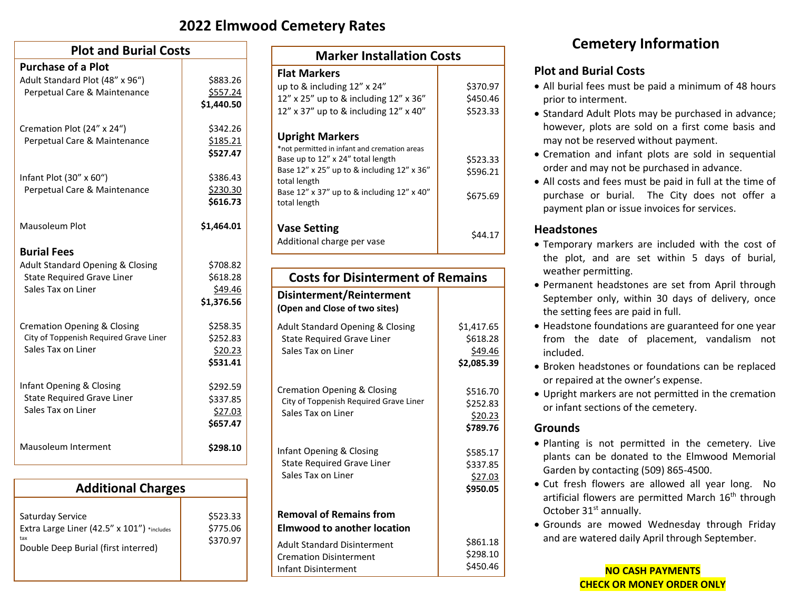### **2022 Elmwood Cemetery Rates**

| <b>Plot and Burial Costs</b>                |            |  |
|---------------------------------------------|------------|--|
| <b>Purchase of a Plot</b>                   |            |  |
| Adult Standard Plot (48" x 96")             | \$883.26   |  |
| Perpetual Care & Maintenance                | \$557.24   |  |
|                                             | \$1,440.50 |  |
| Cremation Plot (24" x 24")                  | \$342.26   |  |
| Perpetual Care & Maintenance                | \$185.21   |  |
|                                             | \$527.47   |  |
| Infant Plot (30" x 60")                     | \$386.43   |  |
| Perpetual Care & Maintenance                | \$230.30   |  |
|                                             | \$616.73   |  |
| Mausoleum Plot                              | \$1,464.01 |  |
| <b>Burial Fees</b>                          |            |  |
| <b>Adult Standard Opening &amp; Closing</b> | \$708.82   |  |
| <b>State Required Grave Liner</b>           | \$618.28   |  |
| Sales Tax on Liner                          | \$49.46    |  |
|                                             | \$1,376.56 |  |
| Cremation Opening & Closing                 | \$258.35   |  |
| City of Toppenish Required Grave Liner      | \$252.83   |  |
| Sales Tax on Liner                          | \$20.23    |  |
|                                             | \$531.41   |  |
| Infant Opening & Closing                    | \$292.59   |  |
| <b>State Required Grave Liner</b>           | \$337.85   |  |
| Sales Tax on Liner                          | \$27.03    |  |
|                                             | \$657.47   |  |
| Mausoleum Interment                         | \$298.10   |  |

| <b>Additional Charges</b>                                                                                    |                                  |  |
|--------------------------------------------------------------------------------------------------------------|----------------------------------|--|
| Saturday Service<br>Extra Large Liner (42.5" x 101") *includes<br>tax<br>Double Deep Burial (first interred) | \$523.33<br>\$775.06<br>\$370.97 |  |

| <b>Marker Installation Costs</b>                                                  |          |  |
|-----------------------------------------------------------------------------------|----------|--|
| <b>Flat Markers</b>                                                               |          |  |
| up to $\&$ including 12" x 24"                                                    | \$370.97 |  |
| 12" x 25" up to & including 12" x 36"                                             | \$450.46 |  |
| 12" x 37" up to & including $12$ " x 40"                                          | \$523.33 |  |
| <b>Upright Markers</b>                                                            |          |  |
| *not permitted in infant and cremation areas<br>Base up to 12" x 24" total length | \$523.33 |  |
| Base 12" x 25" up to & including 12" x 36"<br>total length                        | \$596.21 |  |
| Base 12" x 37" up to & including 12" x 40"<br>total length                        | \$675.69 |  |
| <b>Vase Setting</b><br>Additional charge per vase                                 | \$44.17  |  |

| <b>Costs for Disinterment of Remains</b>                                                               |                                                 |  |
|--------------------------------------------------------------------------------------------------------|-------------------------------------------------|--|
| Disinterment/Reinterment<br>(Open and Close of two sites)                                              |                                                 |  |
| <b>Adult Standard Opening &amp; Closing</b><br><b>State Required Grave Liner</b><br>Sales Tax on Liner | \$1,417.65<br>\$618.28<br>\$49.46<br>\$2,085.39 |  |
| Cremation Opening & Closing<br>City of Toppenish Required Grave Liner<br>Sales Tax on Liner            | \$516.70<br>\$252.83<br>\$20.23<br>\$789.76     |  |
| Infant Opening & Closing<br><b>State Required Grave Liner</b><br>Sales Tax on Liner                    | \$585.17<br>\$337.85<br>\$27.03<br>\$950.05     |  |
| <b>Removal of Remains from</b><br><b>Elmwood to another location</b>                                   |                                                 |  |
| <b>Adult Standard Disinterment</b><br><b>Cremation Disinterment</b><br>Infant Disinterment             | \$861.18<br>\$298.10<br>\$450.46                |  |

## **Cemetery Information**

#### **Plot and Burial Costs**

- All burial fees must be paid a minimum of 48 hours prior to interment.
- Standard Adult Plots may be purchased in advance; however, plots are sold on a first come basis and may not be reserved without payment.
- Cremation and infant plots are sold in sequential order and may not be purchased in advance.
- All costs and fees must be paid in full at the time of purchase or burial. The City does not offer a payment plan or issue invoices for services.

#### **Headstones**

- Temporary markers are included with the cost of the plot, and are set within 5 days of burial, weather permitting.
- Permanent headstones are set from April through September only, within 30 days of delivery, once the setting fees are paid in full.
- Headstone foundations are guaranteed for one year from the date of placement, vandalism not included.
- Broken headstones or foundations can be replaced or repaired at the owner's expense.
- Upright markers are not permitted in the cremation or infant sections of the cemetery.

#### **Grounds**

- Planting is not permitted in the cemetery. Live plants can be donated to the Elmwood Memorial Garden by contacting (509) 865-4500.
- Cut fresh flowers are allowed all year long. No artificial flowers are permitted March 16<sup>th</sup> through October 31<sup>st</sup> annually.
- Grounds are mowed Wednesday through Friday and are watered daily April through September.

**NO CASH PAYMENTS CHECK OR MONEY ORDER ONLY**